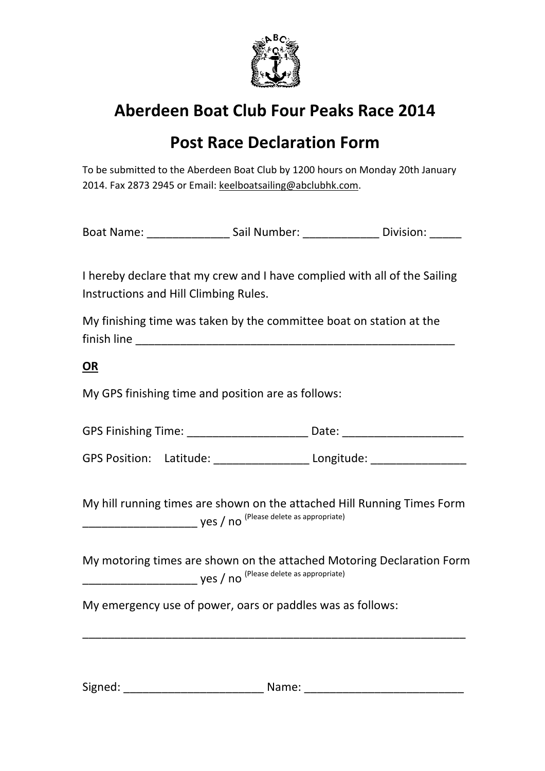

#### **Post Race Declaration Form**

To be submitted to the Aberdeen Boat Club by 1200 hours on Monday 20th January 2014. Fax 2873 2945 or Email: keelboatsailing@abclubhk.com.

Boat Name: \_\_\_\_\_\_\_\_\_\_\_\_\_\_\_\_\_\_\_\_\_\_\_ Sail Number: \_\_\_\_\_\_\_\_\_\_\_\_\_\_\_\_\_\_ Division: \_\_\_\_\_\_\_

I hereby declare that my crew and I have complied with all of the Sailing Instructions and Hill Climbing Rules.

My finishing time was taken by the committee boat on station at the finish line and the state of the state of the state of the state of the state of the state of the state of the state of the state of the state of the state of the state of the state of the state of the state of the state o

**OR**

My GPS finishing time and position are as follows:

| <b>GPS Finishing Time:</b> | Date: |
|----------------------------|-------|
|----------------------------|-------|

GPS Position: Latitude: Longitude: Longitude:

My hill running times are shown on the attached Hill Running Times Form \_\_\_\_\_\_\_\_\_\_\_\_\_\_\_\_\_\_ yes / no (Please delete as appropriate)

My motoring times are shown on the attached Motoring Declaration Form  $\overline{\phantom{a}}$  yes  $\overline{\phantom{a}}$  no  $\overline{\phantom{a}}$  (Please delete as appropriate)

\_\_\_\_\_\_\_\_\_\_\_\_\_\_\_\_\_\_\_\_\_\_\_\_\_\_\_\_\_\_\_\_\_\_\_\_\_\_\_\_\_\_\_\_\_\_\_\_\_\_\_\_\_\_\_\_\_\_\_\_

My emergency use of power, oars or paddles was as follows:

Signed: \_\_\_\_\_\_\_\_\_\_\_\_\_\_\_\_\_\_\_\_\_\_ Name: \_\_\_\_\_\_\_\_\_\_\_\_\_\_\_\_\_\_\_\_\_\_\_\_\_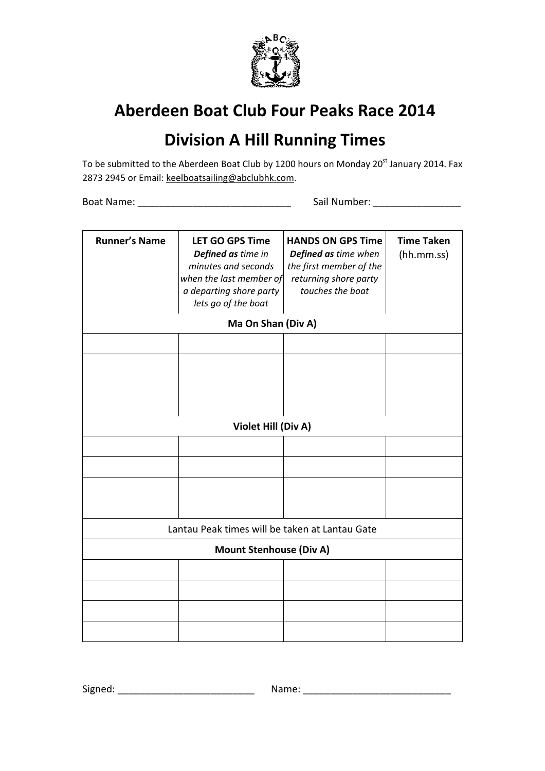

#### **Division A Hill Running Times**

To be submitted to the Aberdeen Boat Club by 1200 hours on Monday 20<sup>st</sup> January 2014. Fax 2873 2945 or Email: keelboatsailing@abclubhk.com.

Boat Name: et al. 2010 and the Sail Number:  $\sim$  Sail Number:

| <b>Runner's Name</b>           | <b>LET GO GPS Time</b><br>Defined as time in<br>minutes and seconds<br>when the last member of<br>a departing shore party<br>lets go of the boat | <b>HANDS ON GPS Time</b><br>Defined as time when<br>the first member of the<br>returning shore party<br>touches the boat | <b>Time Taken</b><br>(hh.mm.ss) |  |  |  |  |
|--------------------------------|--------------------------------------------------------------------------------------------------------------------------------------------------|--------------------------------------------------------------------------------------------------------------------------|---------------------------------|--|--|--|--|
|                                | Ma On Shan (Div A)                                                                                                                               |                                                                                                                          |                                 |  |  |  |  |
|                                |                                                                                                                                                  |                                                                                                                          |                                 |  |  |  |  |
|                                |                                                                                                                                                  |                                                                                                                          |                                 |  |  |  |  |
|                                |                                                                                                                                                  |                                                                                                                          |                                 |  |  |  |  |
|                                |                                                                                                                                                  |                                                                                                                          |                                 |  |  |  |  |
|                                |                                                                                                                                                  |                                                                                                                          |                                 |  |  |  |  |
|                                | Violet Hill (Div A)                                                                                                                              |                                                                                                                          |                                 |  |  |  |  |
|                                |                                                                                                                                                  |                                                                                                                          |                                 |  |  |  |  |
|                                |                                                                                                                                                  |                                                                                                                          |                                 |  |  |  |  |
|                                |                                                                                                                                                  |                                                                                                                          |                                 |  |  |  |  |
|                                |                                                                                                                                                  |                                                                                                                          |                                 |  |  |  |  |
|                                | Lantau Peak times will be taken at Lantau Gate                                                                                                   |                                                                                                                          |                                 |  |  |  |  |
| <b>Mount Stenhouse (Div A)</b> |                                                                                                                                                  |                                                                                                                          |                                 |  |  |  |  |
|                                |                                                                                                                                                  |                                                                                                                          |                                 |  |  |  |  |
|                                |                                                                                                                                                  |                                                                                                                          |                                 |  |  |  |  |
|                                |                                                                                                                                                  |                                                                                                                          |                                 |  |  |  |  |
|                                |                                                                                                                                                  |                                                                                                                          |                                 |  |  |  |  |

Signed: \_\_\_\_\_\_\_\_\_\_\_\_\_\_\_\_\_\_\_\_\_\_\_\_\_ Name: \_\_\_\_\_\_\_\_\_\_\_\_\_\_\_\_\_\_\_\_\_\_\_\_\_\_\_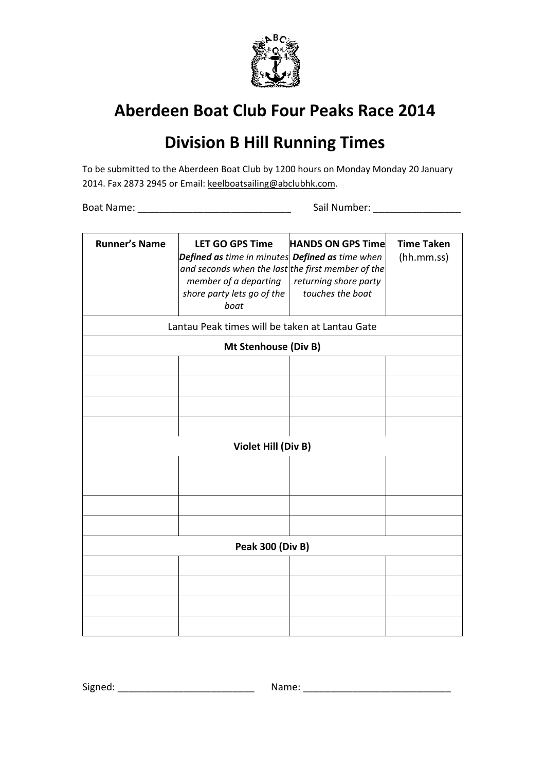

## **Division B Hill Running Times**

To be submitted to the Aberdeen Boat Club by 1200 hours on Monday Monday 20 January 2014. Fax 2873 2945 or Email: keelboatsailing@abclubhk.com.

Boat Name: \_\_\_\_\_\_\_\_\_\_\_\_\_\_\_\_\_\_\_\_\_\_\_\_\_\_\_\_ Sail Number: \_\_\_\_\_\_\_\_\_\_\_\_\_\_\_\_

| <b>Runner's Name</b>                                                   | <b>LET GO GPS Time</b><br><b>Defined as</b> time in minutes <b>Defined as</b> time when<br>and seconds when the last the first member of the<br>member of a departing<br>shore party lets go of the<br>boat | <b>HANDS ON GPS Time</b><br>returning shore party<br>touches the boat | <b>Time Taken</b><br>(hh.mm.ss) |  |  |
|------------------------------------------------------------------------|-------------------------------------------------------------------------------------------------------------------------------------------------------------------------------------------------------------|-----------------------------------------------------------------------|---------------------------------|--|--|
| Lantau Peak times will be taken at Lantau Gate<br>Mt Stenhouse (Div B) |                                                                                                                                                                                                             |                                                                       |                                 |  |  |
|                                                                        |                                                                                                                                                                                                             |                                                                       |                                 |  |  |
|                                                                        |                                                                                                                                                                                                             |                                                                       |                                 |  |  |
|                                                                        |                                                                                                                                                                                                             |                                                                       |                                 |  |  |
|                                                                        |                                                                                                                                                                                                             |                                                                       |                                 |  |  |
|                                                                        |                                                                                                                                                                                                             |                                                                       |                                 |  |  |
| Violet Hill (Div B)                                                    |                                                                                                                                                                                                             |                                                                       |                                 |  |  |
|                                                                        |                                                                                                                                                                                                             |                                                                       |                                 |  |  |
|                                                                        |                                                                                                                                                                                                             |                                                                       |                                 |  |  |
|                                                                        |                                                                                                                                                                                                             |                                                                       |                                 |  |  |
|                                                                        |                                                                                                                                                                                                             |                                                                       |                                 |  |  |
| <b>Peak 300 (Div B)</b>                                                |                                                                                                                                                                                                             |                                                                       |                                 |  |  |
|                                                                        |                                                                                                                                                                                                             |                                                                       |                                 |  |  |
|                                                                        |                                                                                                                                                                                                             |                                                                       |                                 |  |  |
|                                                                        |                                                                                                                                                                                                             |                                                                       |                                 |  |  |
|                                                                        |                                                                                                                                                                                                             |                                                                       |                                 |  |  |

Signed: \_\_\_\_\_\_\_\_\_\_\_\_\_\_\_\_\_\_\_\_\_\_\_\_\_ Name: \_\_\_\_\_\_\_\_\_\_\_\_\_\_\_\_\_\_\_\_\_\_\_\_\_\_\_